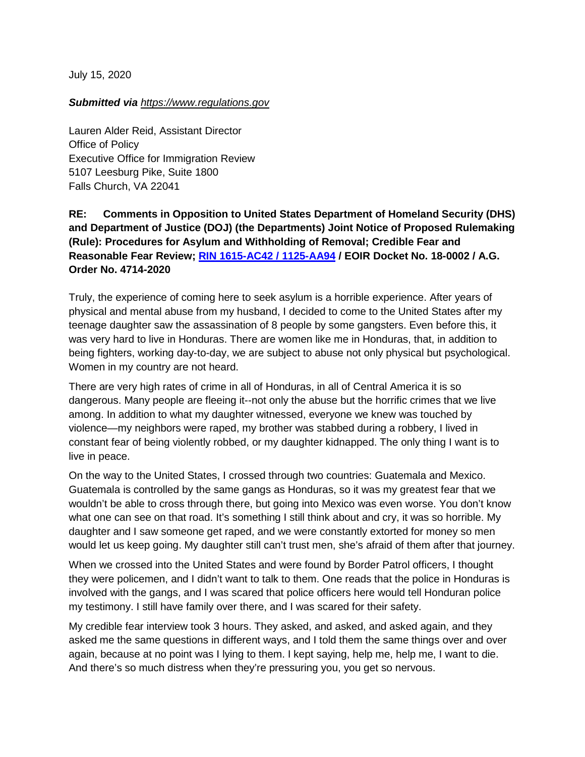July 15, 2020

## *Submitted via https:/[/www.](https://www.regulations.gov/document?D=EOIR-2020-0003-0001)regulations.gov*

Lauren Alder Reid, Assistant Director Office of Policy Executive Office for Immigration Review 5107 Leesburg Pike, Suite 1800 Falls Church, VA 22041

**RE: Comments in Opposition to United States Department of Homeland Security (DHS) and Department of Justice (DOJ) (the Departments) Joint Notice of Proposed Rulemaking (Rule): Procedures for Asylum and Withholding of Removal; Credible Fear and Reasonable Fear Review; [RIN 1615-AC42 / 1125-AA94](https://www.federalregister.gov/documents/2020/06/15/2020-12575/procedures-for-asylum-and-withholding-of-removal-credible-fear-and-reasonable-fear-review) / EOIR Docket No. 18-0002 / A.G. Order No. 4714-2020**

Truly, the experience of coming here to seek asylum is a horrible experience. After years of physical and mental abuse from my husband, I decided to come to the United States after my teenage daughter saw the assassination of 8 people by some gangsters. Even before this, it was very hard to live in Honduras. There are women like me in Honduras, that, in addition to being fighters, working day-to-day, we are subject to abuse not only physical but psychological. Women in my country are not heard.

There are very high rates of crime in all of Honduras, in all of Central America it is so dangerous. Many people are fleeing it--not only the abuse but the horrific crimes that we live among. In addition to what my daughter witnessed, everyone we knew was touched by violence—my neighbors were raped, my brother was stabbed during a robbery, I lived in constant fear of being violently robbed, or my daughter kidnapped. The only thing I want is to live in peace.

On the way to the United States, I crossed through two countries: Guatemala and Mexico. Guatemala is controlled by the same gangs as Honduras, so it was my greatest fear that we wouldn't be able to cross through there, but going into Mexico was even worse. You don't know what one can see on that road. It's something I still think about and cry, it was so horrible. My daughter and I saw someone get raped, and we were constantly extorted for money so men would let us keep going. My daughter still can't trust men, she's afraid of them after that journey.

When we crossed into the United States and were found by Border Patrol officers, I thought they were policemen, and I didn't want to talk to them. One reads that the police in Honduras is involved with the gangs, and I was scared that police officers here would tell Honduran police my testimony. I still have family over there, and I was scared for their safety.

My credible fear interview took 3 hours. They asked, and asked, and asked again, and they asked me the same questions in different ways, and I told them the same things over and over again, because at no point was I lying to them. I kept saying, help me, help me, I want to die. And there's so much distress when they're pressuring you, you get so nervous.